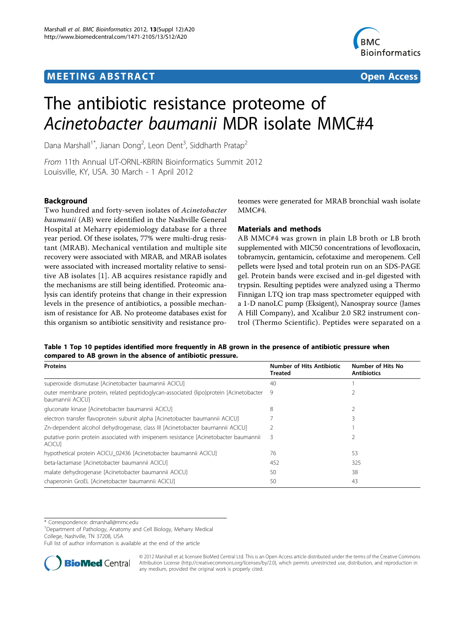# <span id="page-0-0"></span>**MEETING ABSTRACT CONSUMING ABSTRACT**



# The antibiotic resistance proteome of Acinetobacter baumanii MDR isolate MMC#4

Dana Marshall<sup>1\*</sup>, Jianan Dong<sup>2</sup>, Leon Dent<sup>3</sup>, Siddharth Pratap<sup>2</sup>

From 11th Annual UT-ORNL-KBRIN Bioinformatics Summit 2012 Louisville, KY, USA. 30 March - 1 April 2012

# **Background**

Two hundred and forty-seven isolates of Acinetobacter baumanii (AB) were identified in the Nashville General Hospital at Meharry epidemiology database for a three year period. Of these isolates, 77% were multi-drug resistant (MRAB). Mechanical ventilation and multiple site recovery were associated with MRAB, and MRAB isolates were associated with increased mortality relative to sensitive AB isolates [[1](#page-1-0)]. AB acquires resistance rapidly and the mechanisms are still being identified. Proteomic analysis can identify proteins that change in their expression levels in the presence of antibiotics, a possible mechanism of resistance for AB. No proteome databases exist for this organism so antibiotic sensitivity and resistance proteomes were generated for MRAB bronchial wash isolate MMC#4.

## Materials and methods

AB MMC#4 was grown in plain LB broth or LB broth supplemented with MIC50 concentrations of levofloxacin, tobramycin, gentamicin, cefotaxime and meropenem. Cell pellets were lysed and total protein run on an SDS-PAGE gel. Protein bands were excised and in-gel digested with trypsin. Resulting peptides were analyzed using a Thermo Finnigan LTQ ion trap mass spectrometer equipped with a 1-D nanoLC pump (Eksigent), Nanospray source (James A Hill Company), and Xcalibur 2.0 SR2 instrument control (Thermo Scientific). Peptides were separated on a

| Table 1 Top 10 peptides identified more frequently in AB grown in the presence of antibiotic pressure when |  |
|------------------------------------------------------------------------------------------------------------|--|
| compared to AB grown in the absence of antibiotic pressure.                                                |  |

| <b>Proteins</b>                                                                                           | <b>Number of Hits Antibiotic</b><br><b>Treated</b> | <b>Number of Hits No</b><br><b>Antibiotics</b> |
|-----------------------------------------------------------------------------------------------------------|----------------------------------------------------|------------------------------------------------|
| superoxide dismutase [Acinetobacter baumannii ACICU]                                                      | 40                                                 |                                                |
| outer membrane protein, related peptidoglycan-associated (lipo)protein [Acinetobacter<br>baumannii ACICU] | 9                                                  |                                                |
| gluconate kinase [Acinetobacter baumannii ACICU]                                                          | 8                                                  |                                                |
| electron transfer flavoprotein subunit alpha [Acinetobacter baumannii ACICU]                              |                                                    |                                                |
| Zn-dependent alcohol dehydrogenase, class III [Acinetobacter baumannii ACICU]                             |                                                    |                                                |
| putative porin protein associated with imipenem resistance [Acinetobacter baumannii]<br><b>ACICUT</b>     | 3                                                  |                                                |
| hypothetical protein ACICU_02436 [Acinetobacter baumannii ACICU]                                          | 76                                                 | 53                                             |
| beta-lactamase [Acinetobacter baumannii ACICU]                                                            | 452                                                | 325                                            |
| malate dehydrogenase [Acinetobacter baumannii ACICU]                                                      | 50                                                 | 38                                             |
| chaperonin GroEL [Acinetobacter baumannii ACICU]                                                          | 50                                                 | 43                                             |

\* Correspondence: [dmarshall@mmc.edu](mailto:dmarshall@mmc.edu)

<sup>1</sup>Department of Pathology, Anatomy and Cell Biology, Meharry Medical College, Nashville, TN 37208, USA

Full list of author information is available at the end of the article



© 2012 Marshall et al; licensee BioMed Central Ltd. This is an Open Access article distributed under the terms of the Creative Commons Attribution License [\(http://creativecommons.org/licenses/by/2.0](http://creativecommons.org/licenses/by/2.0)), which permits unrestricted use, distribution, and reproduction in any medium, provided the original work is properly cited.